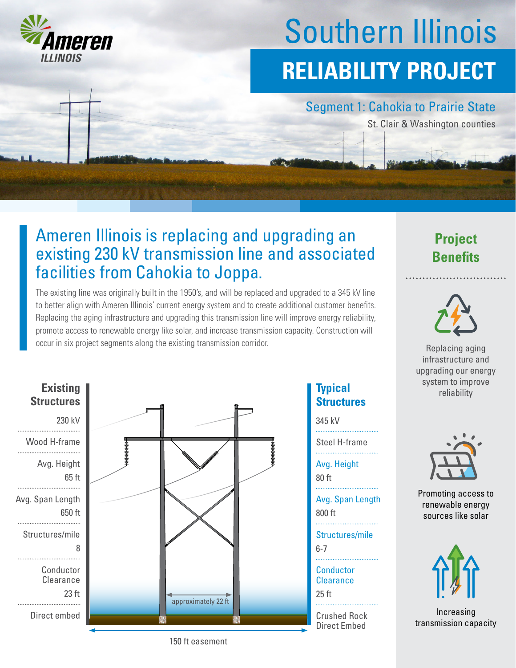

# Southern Illinois **RELIABILITY PROJECT**

### Segment 1: Cahokia to Prairie State

St. Clair & Washington counties

# Ameren Illinois is replacing and upgrading an existing 230 kV transmission line and associated facilities from Cahokia to Joppa.

The existing line was originally built in the 1950's, and will be replaced and upgraded to a 345 kV line to better align with Ameren Illinois' current energy system and to create additional customer benefits. Replacing the aging infrastructure and upgrading this transmission line will improve energy reliability, promote access to renewable energy like solar, and increase transmission capacity. Construction will occur in six project segments along the existing transmission corridor.



### **Typical Structures**

345 kV

Steel H-frame

Avg. Height

80 ft

800 ft Avg. Span Length

6-7 Structures/mile

25 ft **Conductor Clearance** 

Crushed Rock Direct Embed





Replacing aging infrastructure and upgrading our energy system to improve reliability



Promoting access to renewable energy sources like solar



Increasing transmission capacity

150 ft easement